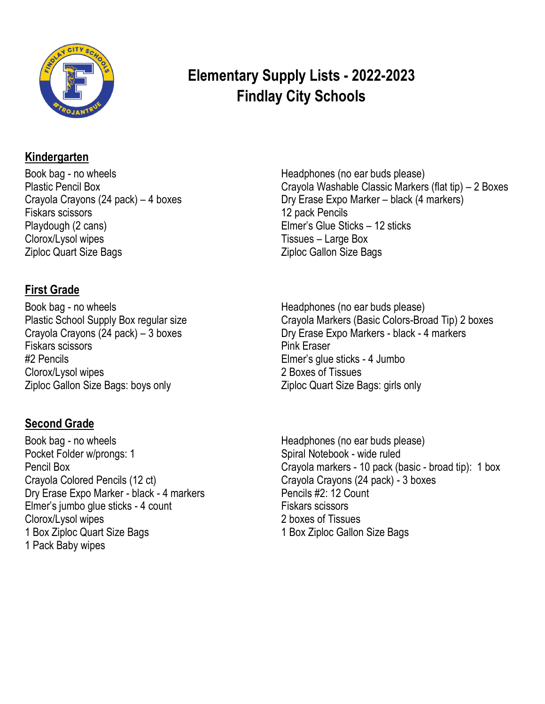

## **Elementary Supply Lists - 2022-2023 Findlay City Schools**

#### **Kindergarten**

Book bag - no wheels Plastic Pencil Box Crayola Crayons (24 pack) – 4 boxes Fiskars scissors Playdough (2 cans) Clorox/Lysol wipes Ziploc Quart Size Bags

### **First Grade**

Book bag - no wheels Plastic School Supply Box regular size Crayola Crayons (24 pack) – 3 boxes Fiskars scissors #2 Pencils Clorox/Lysol wipes Ziploc Gallon Size Bags: boys only

## **Second Grade**

Book bag - no wheels Pocket Folder w/prongs: 1 Pencil Box Crayola Colored Pencils (12 ct) Dry Erase Expo Marker - black - 4 markers Elmer's jumbo glue sticks - 4 count Clorox/Lysol wipes 1 Box Ziploc Quart Size Bags 1 Pack Baby wipes

Headphones (no ear buds please) Crayola Washable Classic Markers (flat tip) – 2 Boxes Dry Erase Expo Marker – black (4 markers) 12 pack Pencils Elmer's Glue Sticks – 12 sticks Tissues – Large Box Ziploc Gallon Size Bags

Headphones (no ear buds please) Crayola Markers (Basic Colors-Broad Tip) 2 boxes Dry Erase Expo Markers - black - 4 markers Pink Eraser Elmer's glue sticks - 4 Jumbo 2 Boxes of Tissues Ziploc Quart Size Bags: girls only

 Crayola markers - 10 pack (basic - broad tip): 1 box Headphones (no ear buds please) Spiral Notebook - wide ruled Crayola Crayons (24 pack) - 3 boxes Pencils #2: 12 Count Fiskars scissors 2 boxes of Tissues 1 Box Ziploc Gallon Size Bags